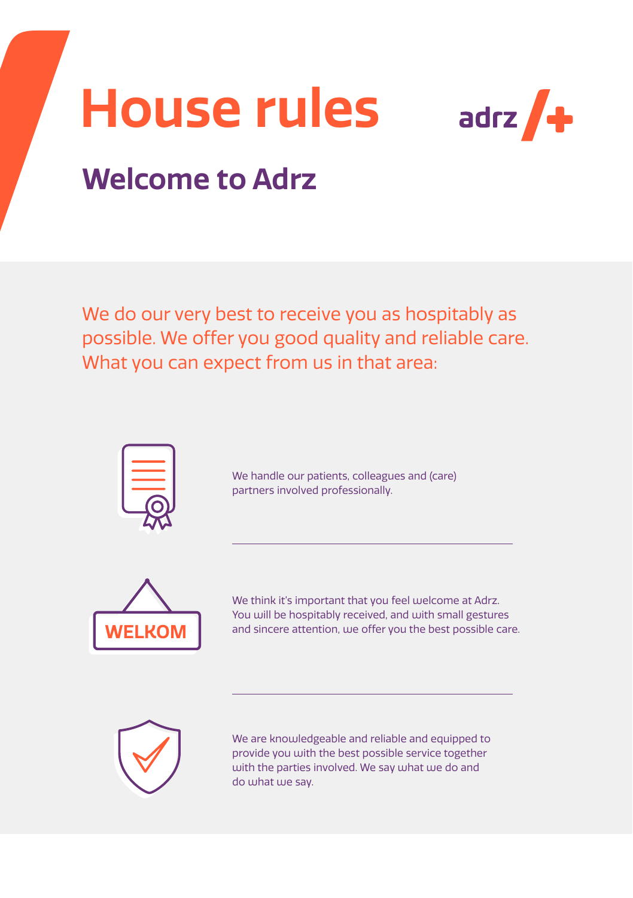



## **Welcome to Adrz**

We do our very best to receive you as hospitably as possible. We offer you good quality and reliable care. What you can expect from us in that area:



We handle our patients, colleagues and (care) partners involved professionally.



We think it's important that you feel welcome at Adrz. You will be hospitably received, and with small gestures and sincere attention, we offer you the best possible care.



We are knowledgeable and reliable and equipped to provide you with the best possible service together with the parties involved. We say what we do and do what we say.